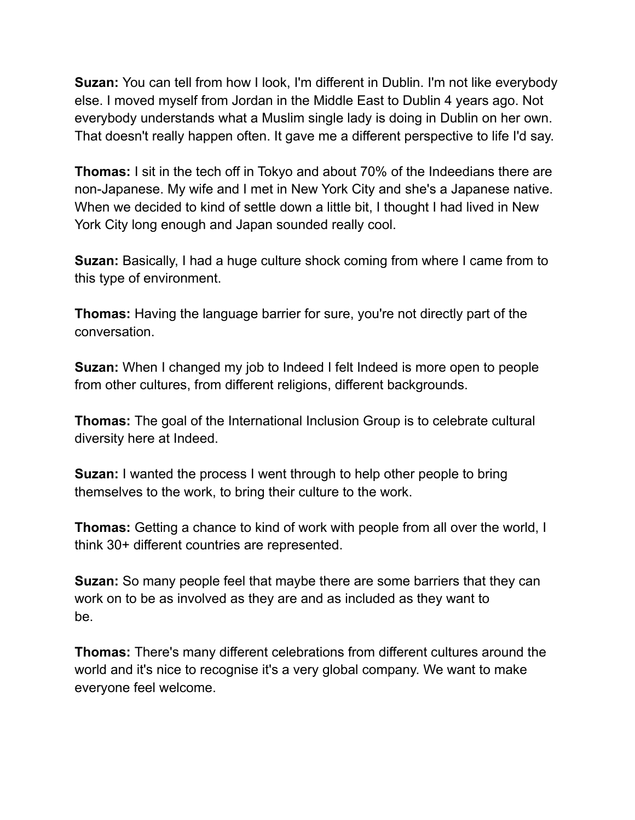**Suzan:** You can tell from how I look, I'm different in Dublin. I'm not like everybody else. I moved myself from Jordan in the Middle East to Dublin 4 years ago. Not everybody understands what a Muslim single lady is doing in Dublin on her own. That doesn't really happen often. It gave me a different perspective to life I'd say.

**Thomas:** I sit in the tech off in Tokyo and about 70% of the Indeedians there are non-Japanese. My wife and I met in New York City and she's a Japanese native. When we decided to kind of settle down a little bit, I thought I had lived in New York City long enough and Japan sounded really cool.

**Suzan:** Basically, I had a huge culture shock coming from where I came from to this type of environment.

**Thomas:** Having the language barrier for sure, you're not directly part of the conversation.

**Suzan:** When I changed my job to Indeed I felt Indeed is more open to people from other cultures, from different religions, different backgrounds.

**Thomas:** The goal of the International Inclusion Group is to celebrate cultural diversity here at Indeed.

**Suzan:** I wanted the process I went through to help other people to bring themselves to the work, to bring their culture to the work.

**Thomas:** Getting a chance to kind of work with people from all over the world, I think 30+ different countries are represented.

**Suzan:** So many people feel that maybe there are some barriers that they can work on to be as involved as they are and as included as they want to be.

**Thomas:** There's many different celebrations from different cultures around the world and it's nice to recognise it's a very global company. We want to make everyone feel welcome.